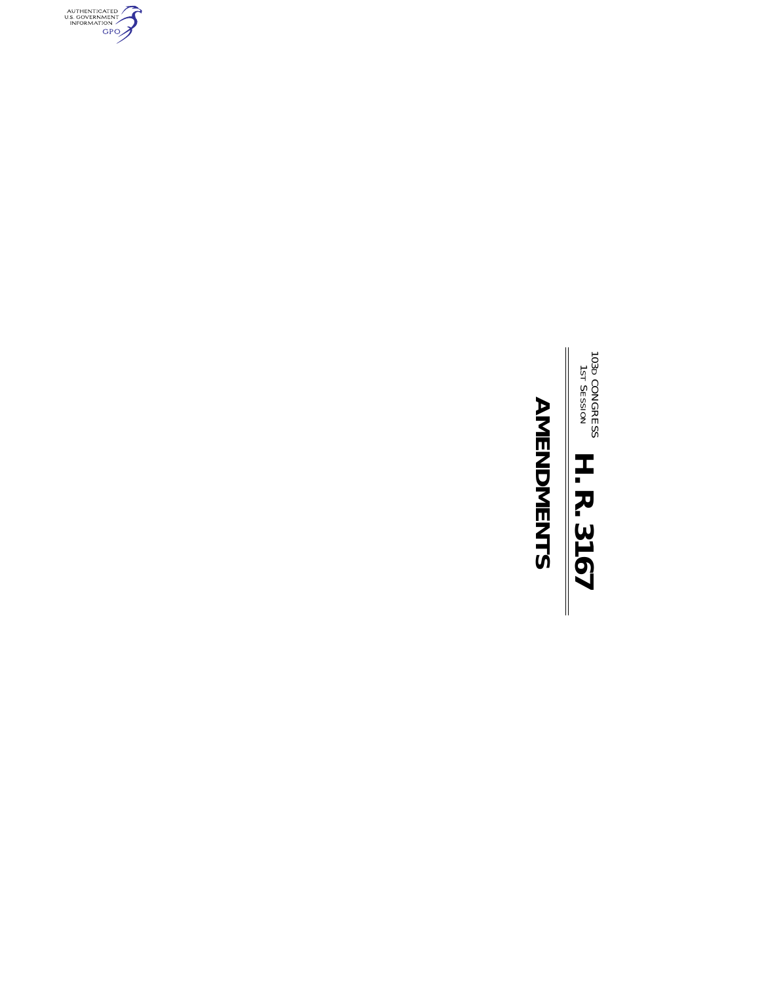

## **AMENDMENTS**

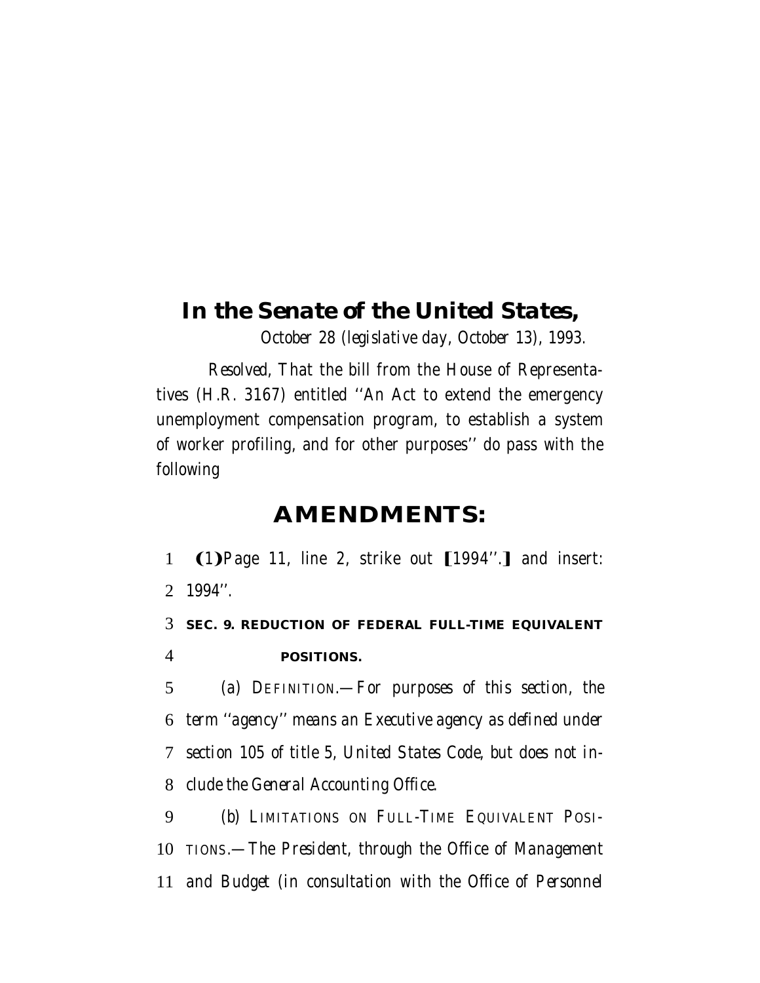## *In the Senate of the United States,*

*October 28 (legislative day, October 13), 1993.*

*Resolved,* That the bill from the House of Representatives (H.R. 3167) entitled ''An Act to extend the emergency unemployment compensation program, to establish a system of worker profiling, and for other purposes'' do pass with the following

## **AMENDMENTS:**

1 (1) Page 11, line 2, strike out [1994".] and insert: 2 *1994''.*

3 *SEC. 9. REDUCTION OF FEDERAL FULL-TIME EQUIVALENT* 4 *POSITIONS.*

 *(a) DEFINITION.—For purposes of this section, the term ''agency'' means an Executive agency as defined under section 105 of title 5, United States Code, but does not in-clude the General Accounting Office.*

9 *(b) LIMITATIONS ON FULL-TIME EQUIVALENT POSI-*10 *TIONS.—The President, through the Office of Management* 11 *and Budget (in consultation with the Office of Personnel*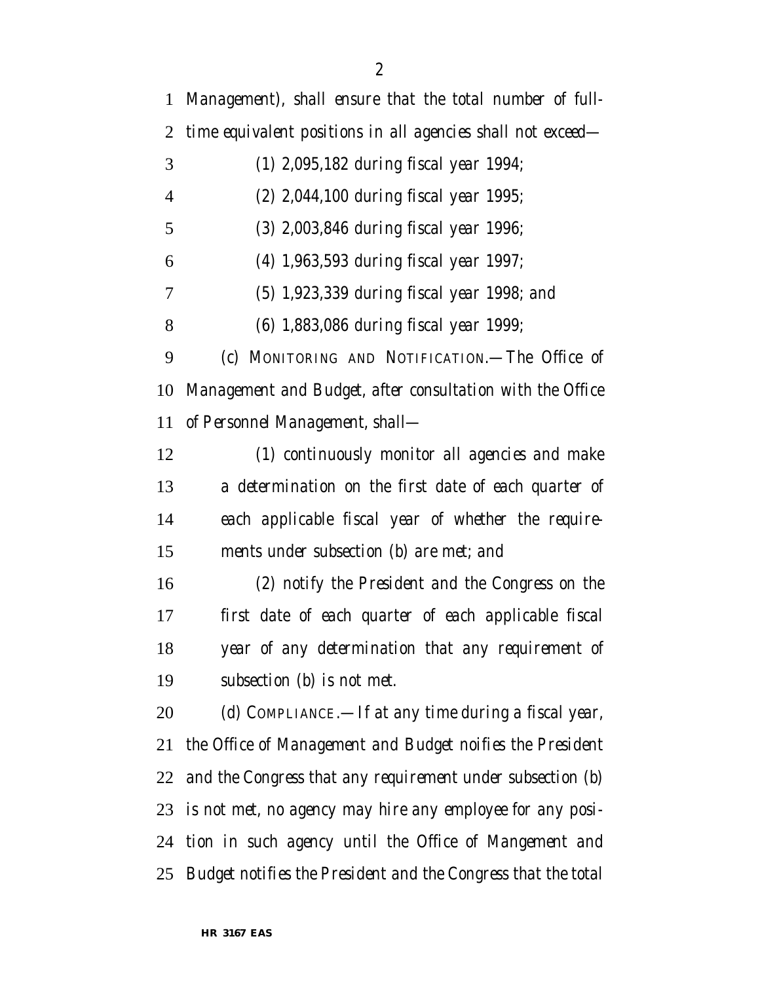*Management), shall ensure that the total number of full- time equivalent positions in all agencies shall not exceed— (1) 2,095,182 during fiscal year 1994; (2) 2,044,100 during fiscal year 1995; (3) 2,003,846 during fiscal year 1996; (4) 1,963,593 during fiscal year 1997; (5) 1,923,339 during fiscal year 1998; and (6) 1,883,086 during fiscal year 1999; (c) MONITORING AND NOTIFICATION.—The Office of Management and Budget, after consultation with the Office of Personnel Management, shall— (1) continuously monitor all agencies and make a determination on the first date of each quarter of each applicable fiscal year of whether the require- ments under subsection (b) are met; and (2) notify the President and the Congress on the first date of each quarter of each applicable fiscal year of any determination that any requirement of subsection (b) is not met. (d) COMPLIANCE.—If at any time during a fiscal year, the Office of Management and Budget noifies the President and the Congress that any requirement under subsection (b) is not met, no agency may hire any employee for any posi- tion in such agency until the Office of Mangement and Budget notifies the President and the Congress that the total*